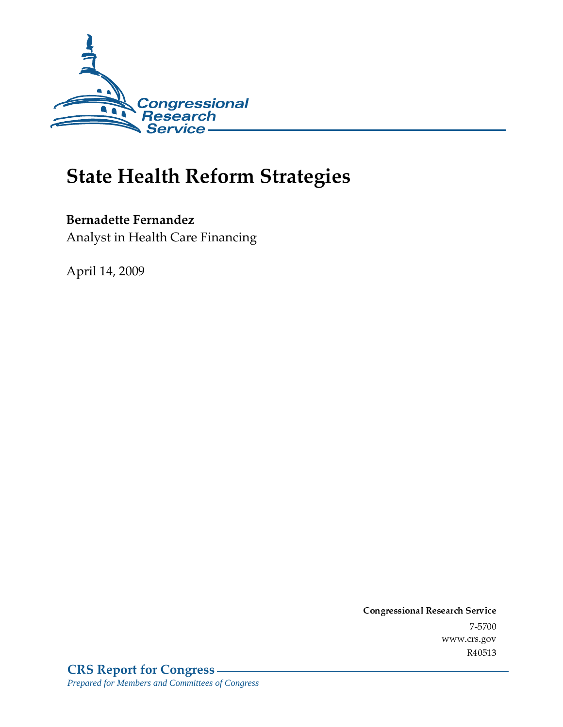

# **State Health Reform Strategies**

**Bernadette Fernandez** Analyst in Health Care Financing

April 14, 2009

Conglessional Research Service  $7 - 2700$ www.crs.gov R40513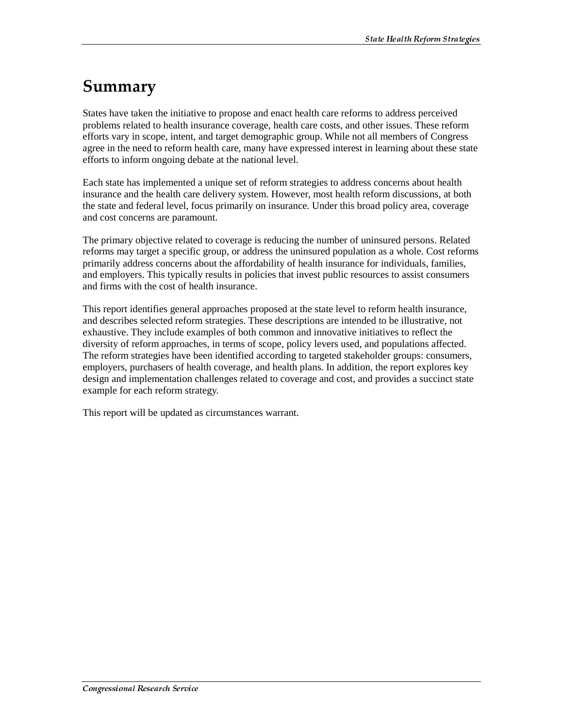# Summary

States have taken the initiative to propose and enact health care reforms to address perceived problems related to health insurance coverage, health care costs, and other issues. These reform efforts vary in scope, intent, and target demographic group. While not all members of Congress agree in the need to reform health care, many have expressed interest in learning about these state efforts to inform ongoing debate at the national level.

Each state has implemented a unique set of reform strategies to address concerns about health insurance and the health care delivery system. However, most health reform discussions, at both the state and federal level, focus primarily on insurance. Under this broad policy area, coverage and cost concerns are paramount.

The primary objective related to coverage is reducing the number of uninsured persons. Related reforms may target a specific group, or address the uninsured population as a whole. Cost reforms primarily address concerns about the affordability of health insurance for individuals, families, and employers. This typically results in policies that invest public resources to assist consumers and firms with the cost of health insurance.

This report identifies general approaches proposed at the state level to reform health insurance, and describes selected reform strategies. These descriptions are intended to be illustrative, not exhaustive. They include examples of both common and innovative initiatives to reflect the diversity of reform approaches, in terms of scope, policy levers used, and populations affected. The reform strategies have been identified according to targeted stakeholder groups: consumers, employers, purchasers of health coverage, and health plans. In addition, the report explores key design and implementation challenges related to coverage and cost, and provides a succinct state example for each reform strategy.

This report will be updated as circumstances warrant.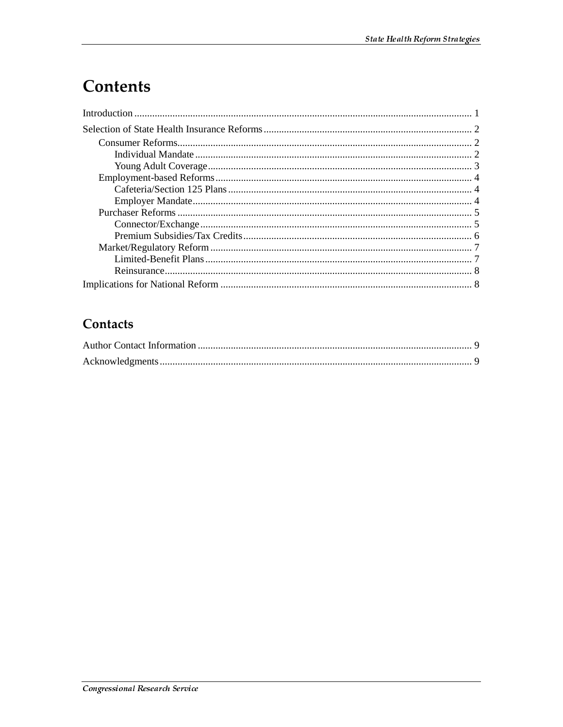# Contents

# Contacts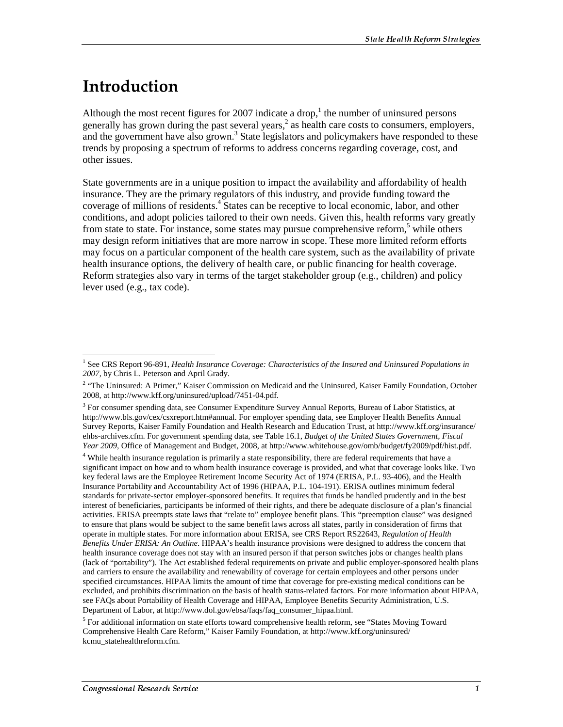# <u>Introduction</u>

 $\overline{a}$ 

Although the most recent figures for 2007 indicate a drop,<sup>1</sup> the number of uninsured persons generally has grown during the past several years, $<sup>2</sup>$  as health care costs to consumers, employers,</sup> and the government have also grown.<sup>3</sup> State legislators and policymakers have responded to these trends by proposing a spectrum of reforms to address concerns regarding coverage, cost, and other issues.

State governments are in a unique position to impact the availability and affordability of health insurance. They are the primary regulators of this industry, and provide funding toward the coverage of millions of residents.<sup>4</sup> States can be receptive to local economic, labor, and other conditions, and adopt policies tailored to their own needs. Given this, health reforms vary greatly from state to state. For instance, some states may pursue comprehensive reform,<sup>5</sup> while others may design reform initiatives that are more narrow in scope. These more limited reform efforts may focus on a particular component of the health care system, such as the availability of private health insurance options, the delivery of health care, or public financing for health coverage. Reform strategies also vary in terms of the target stakeholder group (e.g., children) and policy lever used (e.g., tax code).

<sup>&</sup>lt;sup>1</sup> See CRS Report 96-891, *Health Insurance Coverage: Characteristics of the Insured and Uninsured Populations in 2007*, by Chris L. Peterson and April Grady.

<sup>&</sup>lt;sup>2</sup> "The Uninsured: A Primer," Kaiser Commission on Medicaid and the Uninsured, Kaiser Family Foundation, October 2008, at http://www.kff.org/uninsured/upload/7451-04.pdf.

<sup>&</sup>lt;sup>3</sup> For consumer spending data, see Consumer Expenditure Survey Annual Reports, Bureau of Labor Statistics, at http://www.bls.gov/cex/csxreport.htm#annual. For employer spending data, see Employer Health Benefits Annual Survey Reports, Kaiser Family Foundation and Health Research and Education Trust, at http://www.kff.org/insurance/ ehbs-archives.cfm. For government spending data, see Table 16.1, *Budget of the United States Government, Fiscal Year 2009*, Office of Management and Budget, 2008, at http://www.whitehouse.gov/omb/budget/fy2009/pdf/hist.pdf.

<sup>&</sup>lt;sup>4</sup> While health insurance regulation is primarily a state responsibility, there are federal requirements that have a significant impact on how and to whom health insurance coverage is provided, and what that coverage looks like. Two key federal laws are the Employee Retirement Income Security Act of 1974 (ERISA, P.L. 93-406), and the Health Insurance Portability and Accountability Act of 1996 (HIPAA, P.L. 104-191). ERISA outlines minimum federal standards for private-sector employer-sponsored benefits. It requires that funds be handled prudently and in the best interest of beneficiaries, participants be informed of their rights, and there be adequate disclosure of a plan's financial activities. ERISA preempts state laws that "relate to" employee benefit plans. This "preemption clause" was designed to ensure that plans would be subject to the same benefit laws across all states, partly in consideration of firms that operate in multiple states. For more information about ERISA, see CRS Report RS22643, *Regulation of Health Benefits Under ERISA: An Outline*. HIPAA's health insurance provisions were designed to address the concern that health insurance coverage does not stay with an insured person if that person switches jobs or changes health plans (lack of "portability"). The Act established federal requirements on private and public employer-sponsored health plans and carriers to ensure the availability and renewability of coverage for certain employees and other persons under specified circumstances. HIPAA limits the amount of time that coverage for pre-existing medical conditions can be excluded, and prohibits discrimination on the basis of health status-related factors. For more information about HIPAA, see FAQs about Portability of Health Coverage and HIPAA, Employee Benefits Security Administration, U.S. Department of Labor, at http://www.dol.gov/ebsa/faqs/faq\_consumer\_hipaa.html.

<sup>&</sup>lt;sup>5</sup> For additional information on state efforts toward comprehensive health reform, see "States Moving Toward Comprehensive Health Care Reform," Kaiser Family Foundation, at http://www.kff.org/uninsured/ kcmu\_statehealthreform.cfm.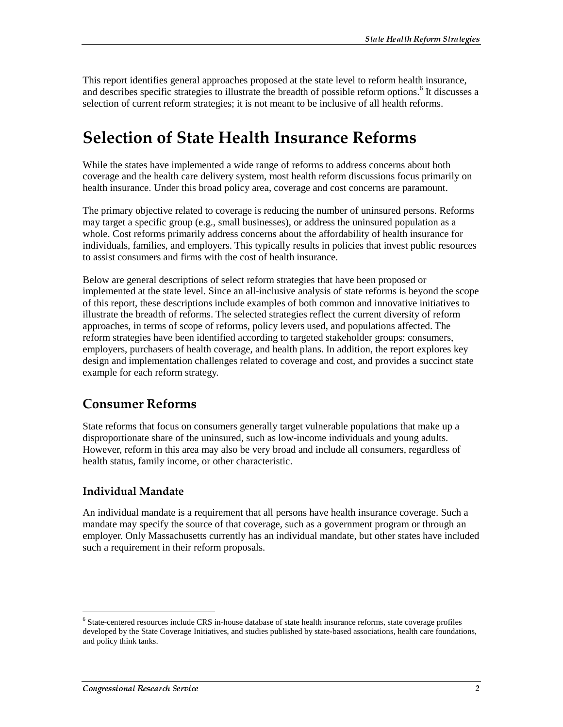This report identifies general approaches proposed at the state level to reform health insurance, and describes specific strategies to illustrate the breadth of possible reform options.<sup>6</sup> It discusses a selection of current reform strategies; it is not meant to be inclusive of all health reforms.

# Selection of State Health Insurance Reforms

While the states have implemented a wide range of reforms to address concerns about both coverage and the health care delivery system, most health reform discussions focus primarily on health insurance. Under this broad policy area, coverage and cost concerns are paramount.

The primary objective related to coverage is reducing the number of uninsured persons. Reforms may target a specific group (e.g., small businesses), or address the uninsured population as a whole. Cost reforms primarily address concerns about the affordability of health insurance for individuals, families, and employers. This typically results in policies that invest public resources to assist consumers and firms with the cost of health insurance.

Below are general descriptions of select reform strategies that have been proposed or implemented at the state level. Since an all-inclusive analysis of state reforms is beyond the scope of this report, these descriptions include examples of both common and innovative initiatives to illustrate the breadth of reforms. The selected strategies reflect the current diversity of reform approaches, in terms of scope of reforms, policy levers used, and populations affected. The reform strategies have been identified according to targeted stakeholder groups: consumers, employers, purchasers of health coverage, and health plans. In addition, the report explores key design and implementation challenges related to coverage and cost, and provides a succinct state example for each reform strategy.

## **Consumer Reforms**

State reforms that focus on consumers generally target vulnerable populations that make up a disproportionate share of the uninsured, such as low-income individuals and young adults. However, reform in this area may also be very broad and include all consumers, regardless of health status, family income, or other characteristic.

## Individual Mandate

An individual mandate is a requirement that all persons have health insurance coverage. Such a mandate may specify the source of that coverage, such as a government program or through an employer. Only Massachusetts currently has an individual mandate, but other states have included such a requirement in their reform proposals.

<sup>&</sup>lt;sup>6</sup> State-centered resources include CRS in-house database of state health insurance reforms, state coverage profiles developed by the State Coverage Initiatives, and studies published by state-based associations, health care foundations, and policy think tanks.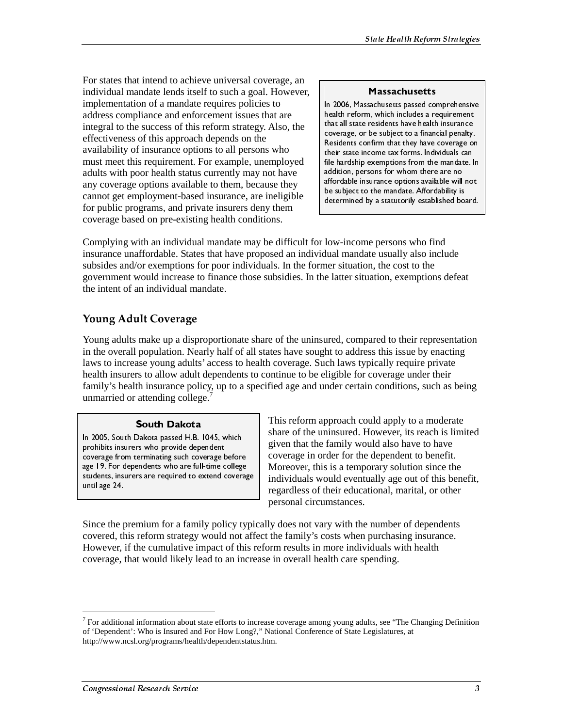For states that intend to achieve universal coverage, an individual mandate lends itself to such a goal. However, implementation of a mandate requires policies to address compliance and enforcement issues that are integral to the success of this reform strategy. Also, the effectiveness of this approach depends on the availability of insurance options to all persons who must meet this requirement. For example, unemployed adults with poor health status currently may not have any coverage options available to them, because they cannot get employment-based insurance, are ineligible for public programs, and private insurers deny them coverage based on pre-existing health conditions.

Massachusetts In 2006, Massachusetts passed comprehensive health reform, which includes a requirement that all state residents have health insurance coverage, or be subject to a financial penalty. Residents confirm that they have coverage on their state income tax forms. Individuals can file hardship exemptions from the mandate. In addition, persons for whom there are no affordable insurance options available will not be subject to the mandate. Affordability is determined by a statutorily established board.

Complying with an individual mandate may be difficult for low-income persons who find insurance unaffordable. States that have proposed an individual mandate usually also include subsides and/or exemptions for poor individuals. In the former situation, the cost to the government would increase to finance those subsidies. In the latter situation, exemptions defeat the intent of an individual mandate.

## **Young Adult Coverage**

Young adults make up a disproportionate share of the uninsured, compared to their representation in the overall population. Nearly half of all states have sought to address this issue by enacting laws to increase young adults' access to health coverage. Such laws typically require private health insurers to allow adult dependents to continue to be eligible for coverage under their family's health insurance policy, up to a specified age and under certain conditions, such as being unmarried or attending college.<sup>7</sup>

**South Dakota**<br>In 2005, South Dakota passed H.B. 1045, which prohibits insurers who provide dependent<br>coverage from terminating such coverage before<br>age 19. For dependents who are full-time college<br>students, insurers are required to extend covera<br>until age 24.<br>Since the premium for prohibits insurers who provide dependent coverage from terminating such coverage before age 19. For dependents who are full-time college students, insurers are required to extend coverage until age 24.

This reform approach could apply to a moderate share of the uninsured. However, its reach is limited given that the family would also have to have coverage in order for the dependent to benefit. Moreover, this is a temporary solution since the individuals would eventually age out of this benefit, regardless of their educational, marital, or other personal circumstances.

Since the premium for a family policy typically does not vary with the number of dependents covered, this reform strategy would not affect the family's costs when purchasing insurance. However, if the cumulative impact of this reform results in more individuals with health coverage, that would likely lead to an increase in overall health care spending. proverage from terminating such coverage tage 19. For dependents who are full-time c<br>students, insurers are required to extend c<br>until age 24.<br>Since the premium for a family polic<br>covered, this reform strategy would<br>Howeve age 19. For dependents who are full-time college<br>students, insurers are required to extend coverage<br>until age 24.<br>Since the premium for a family policy ty<br>covered, this reform strategy would not a<br>However, if the cumulativ external and the students, insurers are required to extend coverage<br>students, insurers are required to extend coverage<br>until age 24.<br>Since the premium for a family policy ty<br>covered, this reform strategy would not a<br>Howeve stated are required to entire the proof of this referred to the premium for a family policy typic covered, this reform strategy would not aff However, if the cumulative impact of this reform strategy would not aff However,

<sup>&</sup>lt;sup>7</sup> For additional information about state efforts to increase coverage among young adults, see "The Changing Definition of 'Dependent': Who is Insured and For How Long?," National Conference of State Legislatures, at http://www.ncsl.org/programs/health/dependentstatus.htm.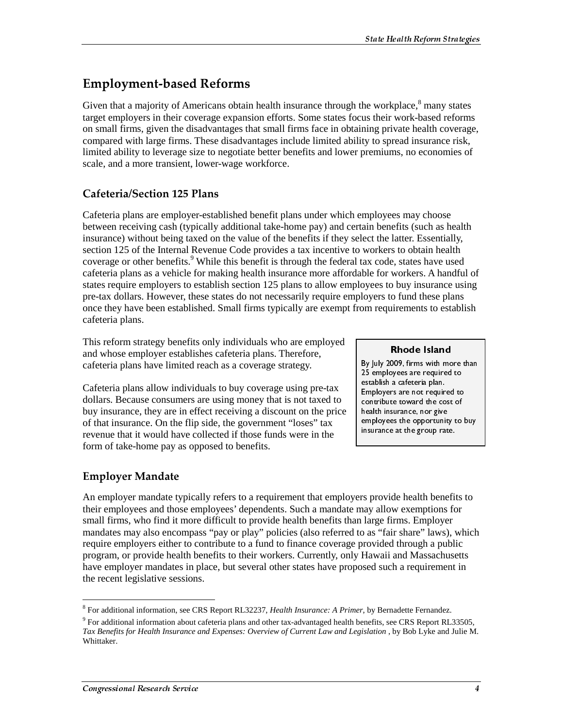# **Employment-based Reforms**

Given that a majority of Americans obtain health insurance through the workplace, $\delta$  many states target employers in their coverage expansion efforts. Some states focus their work-based reforms on small firms, given the disadvantages that small firms face in obtaining private health coverage, compared with large firms. These disadvantages include limited ability to spread insurance risk, limited ability to leverage size to negotiate better benefits and lower premiums, no economies of scale, and a more transient, lower-wage workforce.

## Cafeteria/Section 125 Plans

Cafeteria plans are employer-established benefit plans under which employees may choose between receiving cash (typically additional take-home pay) and certain benefits (such as health insurance) without being taxed on the value of the benefits if they select the latter. Essentially, section 125 of the Internal Revenue Code provides a tax incentive to workers to obtain health coverage or other benefits.<sup>9</sup> While this benefit is through the federal tax code, states have used cafeteria plans as a vehicle for making health insurance more affordable for workers. A handful of states require employers to establish section 125 plans to allow employees to buy insurance using pre-tax dollars. However, these states do not necessarily require employers to fund these plans once they have been established. Small firms typically are exempt from requirements to establish cafeteria plans.

This reform strategy benefits only individuals who are employed and whose employer establishes cafeteria plans. Therefore, cafeteria plans have limited reach as a coverage strategy.

Cafeteria plans allow individuals to buy coverage using pre-tax dollars. Because consumers are using money that is not taxed to buy insurance, they are in effect receiving a discount on the price of that insurance. On the flip side, the government "loses" tax revenue that it would have collected if those funds were in the form of take-home pay as opposed to benefits.

**Rhode Island**<br>By July 2009, firms with more than 25 employees are required to establish a cafeteria plan. Employers are not required to contribute toward the cost of health insurance, nor give employees the opportunity to buy insurance at the group rate.

## **Employer Mandate**

An employer mandate typically refers to a requirement that employers provide health benefits to their employees and those employees' dependents. Such a mandate may allow exemptions for small firms, who find it more difficult to provide health benefits than large firms. Employer mandates may also encompass "pay or play" policies (also referred to as "fair share" laws), which require employers either to contribute to a fund to finance coverage provided through a public program, or provide health benefits to their workers. Currently, only Hawaii and Massachusetts have employer mandates in place, but several other states have proposed such a requirement in the recent legislative sessions. 25 employees are required to<br>
25 employees are required to<br>
establish a cafeteria plan.<br>
Employers are not required to<br>
contribute toward the cost of<br>
health insurance, nor give<br>
employees the opportunity to buy<br>
insurance establish a cafeteria plan.<br>
Employers are not required to<br>
contribute toward the cost of<br>
health insurance, nor give<br>
employees the opportunity to<br>
insurance at the group rate.<br>
This summary to<br>
Summary allow exemptions f Employers are not requir<br>contribute toward the co<br>health insurance, nor give<br>employees the opportuni<br>insurance at the group rai<br>insurance at the group rai<br>sy sprovide health bend<br>ay allow exemptions<br>large firms. Employe<br>o contribute toward the cost of<br>health insurance, nor give<br>employees the opportunity to t<br>insurance at the group rate.<br>Insurance at the group rate.<br>The summary area of the group rate.<br>The summary area of the summary of the s health insurance, nor give<br>thealth insurance, nor give<br>employees the opportunity to<br>insurance at the group rate.<br>The contribute to the computational of the cost of large firms. Employer<br>of a sumple of the cost of the cost employees the opportunity<br>employees the opportunity<br>insurance at the group rate<br>insurance at the group rate<br>of given and Massachus Drovided through a pull<br>Hawaii and Massachus<br>sed such a requirement<br>of section are property insurance at the group rate.<br>
Insurance at the group rate.<br>
The original of the original straight to buy allow exemptions for<br>
large firms. Employer<br>
Das "fair share" laws), which<br>
provided through a public<br>
Hawaii and Mas

 $\overline{a}$ 8 For additional information, see CRS Report RL32237, *Health Insurance: A Primer*, by Bernadette Fernandez.

 $9$  For additional information about cafeteria plans and other tax-advantaged health benefits, see CRS Report RL33505, Tax Benefits for Health Insurance and Expenses: Overview of Current Law and Legislation, by Bob Lyke and Julie M. Whittaker.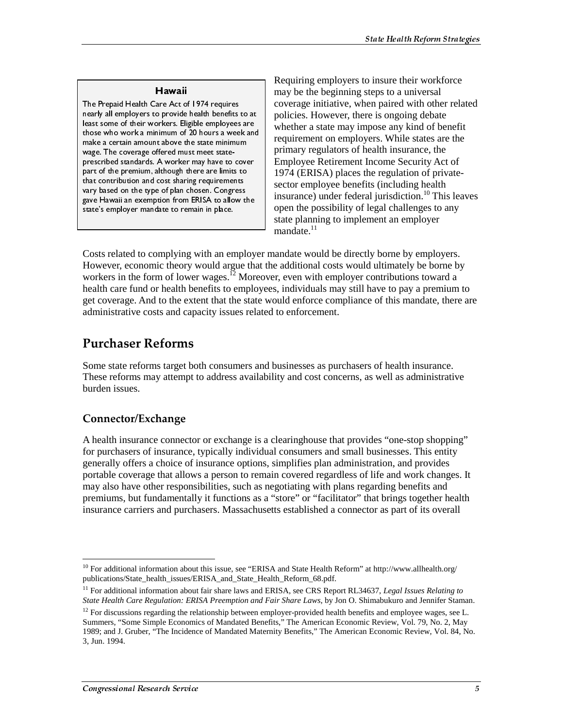ے میں ہیں ہے ۔<br>The Prepaid Health Care Act of 1974 requires nearly all employers to provide health benefits to at least some of their workers. Eligible employees are those who work a minimum of 20 hours a week and make a certain amount above the state minimum wage. The coverage offered must meet stateprescribed standards. A worker may have to cover part of the premium, although there are limits to that contribution and cost sharing requirements vary based on the type of plan chosen. Congress gave Hawaii an exemption from ERISA to allow the state's employer mandate to remain in place.

Requiring employers to insure their workforce may be the beginning steps to a universal coverage initiative, when paired with other related policies. However, there is ongoing debate whether a state may impose any kind of benefit requirement on employers. While states are the primary regulators of health insurance, the Employee Retirement Income Security Act of 1974 (ERISA) places the regulation of privatesector employee benefits (including health insurance) under federal jurisdiction.<sup>10</sup> This leaves open the possibility of legal challenges to any state planning to implement an employer mandate $11$ 

Costs related to complying with an employer mandate would be directly borne by employers. However, economic theory would argue that the additional costs would ultimately be borne by workers in the form of lower wages.<sup>12</sup> Moreover, even with employer contributions toward a health care fund or health benefits to employees, individuals may still have to pay a premium to get coverage. And to the extent that the state would enforce compliance of this mandate, there are administrative costs and capacity issues related to enforcement.

## **Purchaser Reforms**

Some state reforms target both consumers and businesses as purchasers of health insurance. These reforms may attempt to address availability and cost concerns, as well as administrative burden issues.

### Connector/Exchange

A health insurance connector or exchange is a clearinghouse that provides "one-stop shopping" for purchasers of insurance, typically individual consumers and small businesses. This entity generally offers a choice of insurance options, simplifies plan administration, and provides portable coverage that allows a person to remain covered regardless of life and work changes. It may also have other responsibilities, such as negotiating with plans regarding benefits and premiums, but fundamentally it functions as a "store" or "facilitator" that brings together health insurance carriers and purchasers. Massachusetts established a connector as part of its overall

 $\overline{a}$ <sup>10</sup> For additional information about this issue, see "ERISA and State Health Reform" at http://www.allhealth.org/ publications/State\_health\_issues/ERISA\_and\_State\_Health\_Reform\_68.pdf.

<sup>&</sup>lt;sup>11</sup> For additional information about fair share laws and ERISA, see CRS Report RL34637, *Legal Issues Relating to State Health Care Regulation: ERISA Preemption and Fair Share Laws*, by Jon O. Shimabukuro and Jennifer Staman.

 $12$  For discussions regarding the relationship between employer-provided health benefits and employee wages, see L. Summers, "Some Simple Economics of Mandated Benefits," The American Economic Review, Vol. 79, No. 2, May 1989; and J. Gruber, "The Incidence of Mandated Maternity Benefits," The American Economic Review, Vol. 84, No. 3, Jun. 1994.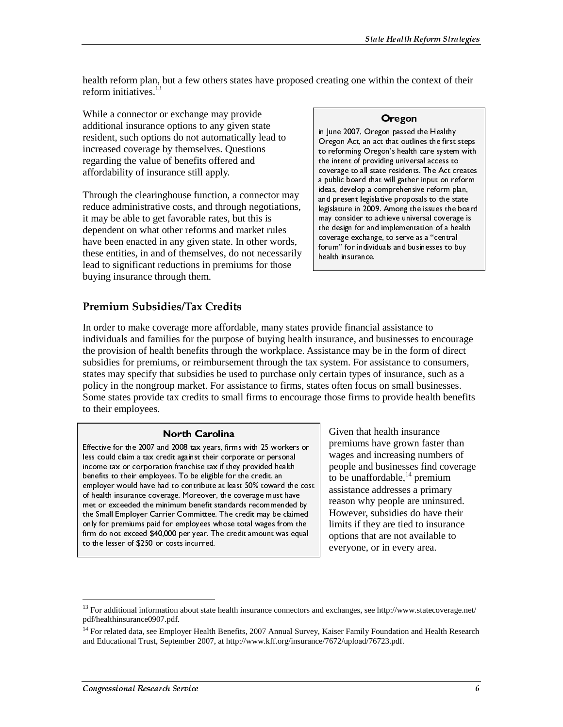health reform plan, but a few others states have proposed creating one within the context of their reform initiatives. $^{13}$ 

While a connector or exchange may provide additional insurance options to any given state resident, such options do not automatically lead to increased coverage by themselves. Questions regarding the value of benefits offered and affordability of insurance still apply.

Through the clearinghouse function, a connector may reduce administrative costs, and through negotiations, it may be able to get favorable rates, but this is dependent on what other reforms and market rules have been enacted in any given state. In other words, these entities, in and of themselves, do not necessarily lead to significant reductions in premiums for those buying insurance through them.

### Oregon

in June 2007, Oregon passed the Healthy Oregon Act, an act that outlines the first steps to reforming Oregon's health care system with the intent of providing universal access to coverage to all state residents. The Act creates a public board that will gather input on reform ideas, develop a comprehensive reform plan, and present legislative proposals to the state legislature in 2009. Among the issues the board may consider to achieve universal coverage is the design for and implementation of a health coverage exchange, to serve as a "central forum" for individuals and businesses to buy health insurance.

### Premium Subsidies/Tax Credits

In order to make coverage more affordable, many states provide financial assistance to individuals and families for the purpose of buying health insurance, and businesses to encourage the provision of health benefits through the workplace. Assistance may be in the form of direct subsidies for premiums, or reimbursement through the tax system. For assistance to consumers, states may specify that subsidies be used to purchase only certain types of insurance, such as a policy in the nongroup market. For assistance to firms, states often focus on small businesses. Some states provide tax credits to small firms to encourage those firms to provide health benefits to their employees.

### North Carolina

Effective for the 2007 and 2008 tax years, firms with 25 workers or less could claim a tax credit against their corporate or personal income tax or corporation franchise tax if they provided health benefits to their employees. To be eligible for the credit, an employer would have had to contribute at least 50% toward the cost of health insurance coverage. Moreover, the coverage must have met or exceeded the minimum benefit standards recommended by<br>the Small Employer Carrier Committee. The credit may be claimed only for premiums paid for employees whose total wages from the<br>firm do not exceed \$40,000 per year. The credit amount was equal<br>to the lesser of \$250 or costs incurred.<br><sup>13</sup> For additional information about state health i only for premiums paid for employees whose total wages from the only for premiums paid and the set of \$40,000 per year. The credit amount was equal form do not exceed \$40,000 per year. The credit amount was equal to the lesser of \$250 or costs incurred.<br>
<sup>13</sup> For additional information firm do not exceed \$40,000 per year. The credit amount was equal to the lesser of \$250 or costs incurred.

Given that health insurance premiums have grown faster than wages and increasing numbers of people and businesses find coverage to be unaffordable,  $^{14}$  premium assistance addresses a primary reason why people are uninsured. However, subsidies do have their limits if they are tied to insurance options that are not available to everyone, or in every area.

<sup>&</sup>lt;sup>13</sup> For additional information about state health insurance connectors and exchanges, see http://www.statecoverage.net/ pdf/healthinsurance0907.pdf. firm do the lesser of \$250 or costs incurred.<br>
<sup>13</sup> For additional information about state health insurance connectors<br>
pdf/healthinsurance0907.pdf.<br>
<sup>14</sup> For related data, see Employer Health Benefits, 2007 Annual Survand

<sup>&</sup>lt;sup>14</sup> For related data, see Employer Health Benefits, 2007 Annual Survey, Kaiser Family Foundation and Health Research and Educational Trust, September 2007, at http://www.kff.org/insurance/7672/upload/76723.pdf.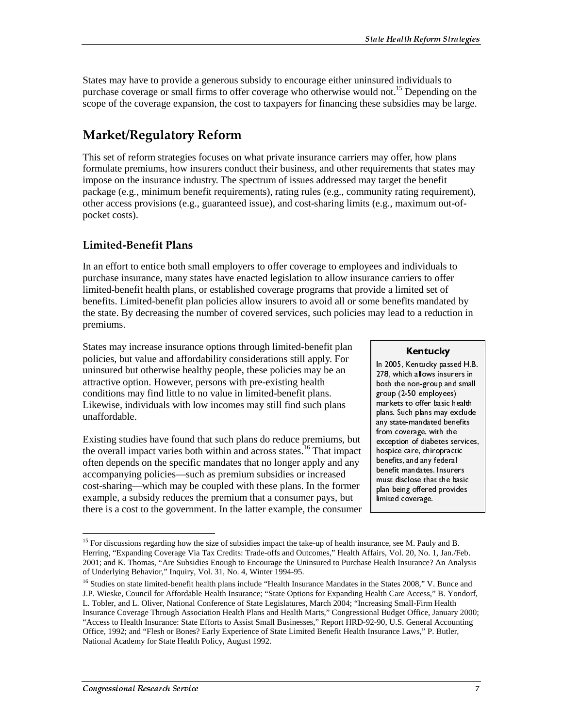States may have to provide a generous subsidy to encourage either uninsured individuals to purchase coverage or small firms to offer coverage who otherwise would not.<sup>15</sup> Depending on the scope of the coverage expansion, the cost to taxpayers for financing these subsidies may be large.

# **Market/Regulatory Reform**

This set of reform strategies focuses on what private insurance carriers may offer, how plans formulate premiums, how insurers conduct their business, and other requirements that states may impose on the insurance industry. The spectrum of issues addressed may target the benefit package (e.g., minimum benefit requirements), rating rules (e.g., community rating requirement), other access provisions (e.g., guaranteed issue), and cost-sharing limits (e.g., maximum out-ofpocket costs).

## Limited-Benefit Plans

In an effort to entice both small employers to offer coverage to employees and individuals to purchase insurance, many states have enacted legislation to allow insurance carriers to offer limited-benefit health plans, or established coverage programs that provide a limited set of benefits. Limited-benefit plan policies allow insurers to avoid all or some benefits mandated by the state. By decreasing the number of covered services, such policies may lead to a reduction in premiums.

States may increase insurance options through limited-benefit plan policies, but value and affordability considerations still apply. For uninsured but otherwise healthy people, these policies may be an attractive option. However, persons with pre-existing health conditions may find little to no value in limited-benefit plans. Likewise, individuals with low incomes may still find such plans unaffordable.

Existing studies have found that such plans do reduce premiums, but the overall impact varies both within and across states.<sup>16</sup> That impact often depends on the specific mandates that no longer apply and any accompanying policies—such as premium subsidies or increased cost-sharing—which may be coupled with these plans. In the former example, a subsidy reduces the premium that a consumer pays, but there is a cost to the government. In the latter example, the consumer

**Kentucky**<br>In 2005, Kentucky passed H.B. 278, which allows insurers in<br>both the non-group and small<br>group (2-50 employees)<br>markets to offer basic health<br>plans. Such plans may exclude<br>any state-mandated benefits<br>from coverage, with the<br>exception of diabetes servic 278, which allows insurers in both the non-group and small<br>group (2-50 employees)<br>markets to offer basic health<br>plans. Such plans may exclude<br>any state-mandated benefits<br>from coverage, with the<br>exception of diabetes services<br>hospice care, chiropractic<br> both the non-group and small group (2-50 employees)<br>group (2-50 employees)<br>markets to offer basic health<br>plans. Such plans may exclude<br>any state-mandated benefits<br>from coverage, with the<br>exception of diabetes services,<br>hospice care, chiropractic<br>benef group (2-50 employees) Fraction of the basic hemateus to offer basic hemateus. Such plans may exany state-mandated beneform coverage, with the exception of diabetes self-<br>to apply the exception of diabetes self-<br>ospice care, chiropractic benefit markets to offer basic health plans. Such plans may exclude<br>plans. Such plans may exclude<br>any state-mandated benefits<br>from coverage, with the<br>exception of diabetes service:<br>hospice care, chiropractic<br>benefits, and any federal<br>benefit mandates. Insurers plans. Such plans may exclude any state-mandated benefits<br>from coverage, with the<br>exception of diabetes services,<br>hospice care, chiropractic<br>benefits, and any federal<br>benefit mandates. Insurers<br>must disclose that the basic<br>plan being offered provides<br>l any state-mandated benefits from coverage, with the<br>exception of diabetes service<br>hospice care, chiropractic<br>benefits, and any federal<br>benefits, and any federal<br>benefit mandates. Insurers<br>must disclose that the basic<br>plan being offered provides<br>limit from coverage, with the exception of diabetes sen<br>hospice care, chiropracti<br>benefits, and any federal<br>benefit mandates. Insure<br>must disclose that the ba<br>plan being offered provid<br>limited coverage.<br>must disclose that the ba<br>plan being offered prov exception of diabetes services. hospice care, chiropractic benefits, and any federal benefit mandates. Insurers must disclose that the basic plan being offered provides limited coverage.

<sup>&</sup>lt;sup>15</sup> For discussions regarding how the size of subsidies impact the take-up of health insurance, see M. Pauly and B. Herring, "Expanding Coverage Via Tax Credits: Trade-offs and Outcomes," Health Affairs, Vol. 20, No. 1, Jan./Feb. 2001; and K. Thomas, "Are Subsidies Enough to Encourage the Uninsured to Purchase Health Insurance? An Analysis of Underlying Behavior," Inquiry, Vol. 31, No. 4, Winter 1994-95.

<sup>&</sup>lt;sup>16</sup> Studies on state limited-benefit health plans include "Health Insurance Mandates in the States 2008," V. Bunce and J.P. Wieske, Council for Affordable Health Insurance; "State Options for Expanding Health Care Access," B. Yondorf, L. Tobler, and L. Oliver, National Conference of State Legislatures, March 2004; "Increasing Small-Firm Health Insurance Coverage Through Association Health Plans and Health Marts," Congressional Budget Office, January 2000; "Access to Health Insurance: State Efforts to Assist Small Businesses," Report HRD-92-90, U.S. General Accounting Office, 1992; and "Flesh or Bones? Early Experience of State Limited Benefit Health Insurance Laws," P. Butler, National Academy for State Health Policy, August 1992. hospice care, chiropractic<br>benefits, and any federal<br>benefits, and any federal<br>benefit mandates. Insurers<br>must disclose that the basic<br>plan being offered provides<br>limited coverage.<br>must coverage.<br>Must service of the diabet benefits, and any federal<br>benefits, and any federal<br>benefit mandates. Insurers<br>must disclose that the basi<br>plan being offered provide:<br>limited coverage.<br>must limited coverage.<br>must provide:<br>Fig. 1, Jan./Fel<br>fealth Insuranc benefit mandates. Insure<br>benefit mandates. Insure<br>must disclose that the ba<br>plan being offered provid<br>limited coverage.<br>limited coverage.<br>nnce, see M. Pauly and B.<br>irs, Vol. 20, No. 1, Jan./F<br>dealth Insurance? An Ana<br>e Sta must disclose that the basic<br>plan being offered provides<br>limited coverage.<br>and B. irs, Vol. 20, No. 1, Jan./Fet<br>fealth Insurance? An Analy<br>e States 2008," V. Bunce an<br>alth Care Access," B. Yond<br>asing Small-Firm Health<br>Il B plan being offered provides<br>limited coverage.<br>Imited coverage.<br>In the basic of the basic of the basic of An Analys<br>Fealth Insurance? An Analys<br>Person Hall Care Access," B. Yondon<br>Asing Small-Firm Health<br>Il Budget Office, J Imited coverage.<br>
Imited coverage.<br>
Irs, Vol. 20, No. 1, Jan./Feb.<br>
Health Insurance? An Analys<br>
Pe States 2008," V. Bunce and State of the State of State of B.<br>
Personal Primers B. Yondo<br>
1 Budget Office, January 200<br>
90,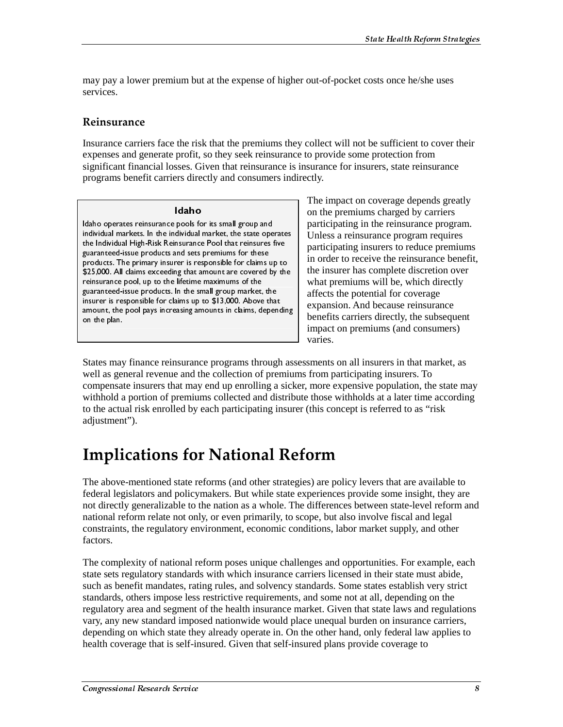may pay a lower premium but at the expense of higher out-of-pocket costs once he/she uses services.

### Reinsurance

Insurance carriers face the risk that the premiums they collect will not be sufficient to cover their expenses and generate profit, so they seek reinsurance to provide some protection from significant financial losses. Given that reinsurance is insurance for insurers, state reinsurance programs benefit carriers directly and consumers indirectly.

Idaho Idaho operates reinsurance pools for its small group and individual markets. In the individual market, the state operates the Individual High-Risk Reinsurance Pool that reinsures five guaranteed-issue products and sets premiums for these products. The primary insurer is responsible for claims up to \$25,000. All claims exceeding that amount are covered by the reinsurance pool, up to the lifetime maximums of the guaranteed-issue products. In the small group market, the insurer is responsible for claims up to \$13,000. Above that amount, the pool pays increasing amounts in claims, depending on the plan.

The impact on coverage depends greatly on the premiums charged by carriers participating in the reinsurance program. Unless a reinsurance program requires participating insurers to reduce premiums in order to receive the reinsurance benefit, the insurer has complete discretion over what premiums will be, which directly affects the potential for coverage expansion. And because reinsurance benefits carriers directly, the subsequent impact on premiums (and consumers) varies.

States may finance reinsurance programs through assessments on all insurers in that market, as well as general revenue and the collection of premiums from participating insurers. To compensate insurers that may end up enrolling a sicker, more expensive population, the state may withhold a portion of premiums collected and distribute those withholds at a later time according to the actual risk enrolled by each participating insurer (this concept is referred to as "risk adjustment").

# **Implications for National Reform**

The above-mentioned state reforms (and other strategies) are policy levers that are available to federal legislators and policymakers. But while state experiences provide some insight, they are not directly generalizable to the nation as a whole. The differences between state-level reform and national reform relate not only, or even primarily, to scope, but also involve fiscal and legal constraints, the regulatory environment, economic conditions, labor market supply, and other factors.

The complexity of national reform poses unique challenges and opportunities. For example, each state sets regulatory standards with which insurance carriers licensed in their state must abide, such as benefit mandates, rating rules, and solvency standards. Some states establish very strict standards, others impose less restrictive requirements, and some not at all, depending on the regulatory area and segment of the health insurance market. Given that state laws and regulations vary, any new standard imposed nationwide would place unequal burden on insurance carriers, depending on which state they already operate in. On the other hand, only federal law applies to health coverage that is self-insured. Given that self-insured plans provide coverage to